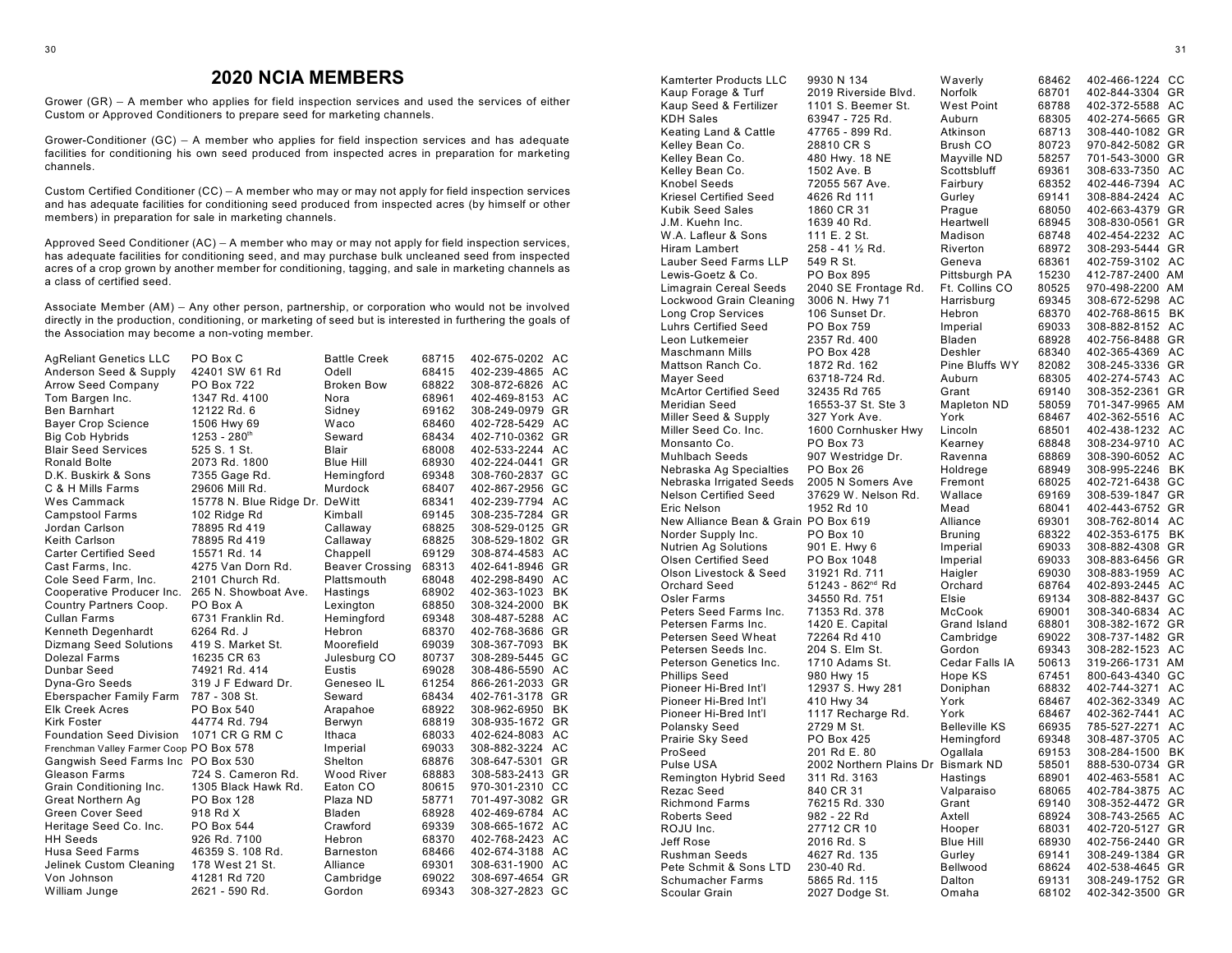## **2020 NCIA MEMBERS**

Grower (GR) - A member who applies for field inspection services and used the services of either Custom or Approved Conditioners to prepare seed for marketing channels.

Grower-Conditioner (GC) – A member who applies for field inspection services and has adequate facilities for conditioning his own seed produced from inspected acres in preparation for marketing channels.

Custom Certified Conditioner (CC) - A member who may or may not apply for field inspection services and has adequate facilities for conditioning seed produced from inspected acres (by himself or other members) in preparation for sale in marketing channels.

Approved Seed Conditioner  $(AC) - A$  member who may or may not apply for field inspection services, has adequate facilities for conditioning seed, and may purchase bulk uncleaned seed from inspected acres of a crop grown by another member for conditioning, tagging, and sale in marketing channels as a class of certified seed.

Associate Member (AM) – Any other person, partnership, or corporation who would not be involved directly in the production, conditioning, or marketing of seed but is interested in furthering the goals of the Association may become a non-voting member.

| <b>AgReliant Genetics LLC</b>           | PO Box C                       | <b>Battle Creek</b>    | 68715 | 402-675-0202 AC |           |
|-----------------------------------------|--------------------------------|------------------------|-------|-----------------|-----------|
| Anderson Seed & Supply                  | 42401 SW 61 Rd                 | Odell                  | 68415 | 402-239-4865 AC |           |
| <b>Arrow Seed Company</b>               | <b>PO Box 722</b>              | <b>Broken Bow</b>      | 68822 | 308-872-6826 AC |           |
| Tom Bargen Inc.                         | 1347 Rd. 4100                  | Nora                   | 68961 | 402-469-8153 AC |           |
| <b>Ben Barnhart</b>                     | 12122 Rd. 6                    | Sidney                 | 69162 | 308-249-0979 GR |           |
| <b>Bayer Crop Science</b>               | 1506 Hwy 69                    | Waco                   | 68460 | 402-728-5429 AC |           |
| <b>Big Cob Hybrids</b>                  | $1253 - 280$ <sup>th</sup>     | Seward                 | 68434 | 402-710-0362 GR |           |
| <b>Blair Seed Services</b>              | 525 S. 1 St.                   | Blair                  | 68008 | 402-533-2244 AC |           |
| <b>Ronald Bolte</b>                     | 2073 Rd. 1800                  | <b>Blue Hill</b>       | 68930 | 402-224-0441 GR |           |
| D.K. Buskirk & Sons                     | 7355 Gage Rd.                  | Hemingford             | 69348 | 308-760-2837 GC |           |
| C & H Mills Farms                       | 29606 Mill Rd.                 | Murdock                | 68407 | 402-867-2956 GC |           |
| Wes Cammack                             | 15778 N. Blue Ridge Dr. DeWitt |                        | 68341 | 402-239-7794 AC |           |
| <b>Campstool Farms</b>                  | 102 Ridge Rd                   | Kimball                | 69145 | 308-235-7284 GR |           |
| Jordan Carlson                          | 78895 Rd 419                   | Callaway               | 68825 | 308-529-0125 GR |           |
| Keith Carlson                           | 78895 Rd 419                   | Callaway               | 68825 | 308-529-1802 GR |           |
| <b>Carter Certified Seed</b>            | 15571 Rd. 14                   | Chappell               | 69129 | 308-874-4583 AC |           |
| Cast Farms, Inc.                        | 4275 Van Dorn Rd.              | <b>Beaver Crossing</b> | 68313 | 402-641-8946 GR |           |
| Cole Seed Farm, Inc.                    | 2101 Church Rd.                | Plattsmouth            | 68048 | 402-298-8490 AC |           |
| Cooperative Producer Inc.               | 265 N. Showboat Ave.           | Hastings               | 68902 | 402-363-1023    | <b>BK</b> |
| Country Partners Coop.                  | PO Box A                       | Lexington              | 68850 | 308-324-2000    | <b>BK</b> |
| <b>Cullan Farms</b>                     | 6731 Franklin Rd.              | Hemingford             | 69348 | 308-487-5288 AC |           |
| Kenneth Degenhardt                      | 6264 Rd. J                     | Hebron                 | 68370 | 402-768-3686 GR |           |
| <b>Dizmang Seed Solutions</b>           | 419 S. Market St.              | Moorefield             | 69039 | 308-367-7093    | <b>BK</b> |
| Dolezal Farms                           | 16235 CR 63                    | Julesburg CO           | 80737 | 308-289-5445 GC |           |
| Dunbar Seed                             | 74921 Rd. 414                  | Eustis                 | 69028 | 308-486-5590 AC |           |
| Dyna-Gro Seeds                          | 319 J F Edward Dr.             | Geneseo IL             | 61254 | 866-261-2033 GR |           |
| Eberspacher Family Farm                 | 787 - 308 St.                  | Seward                 | 68434 | 402-761-3178 GR |           |
| <b>Elk Creek Acres</b>                  | PO Box 540                     | Arapahoe               | 68922 | 308-962-6950    | <b>BK</b> |
| Kirk Foster                             | 44774 Rd. 794                  | Berwyn                 | 68819 | 308-935-1672 GR |           |
| <b>Foundation Seed Division</b>         | 1071 CR G RM C                 | Ithaca                 | 68033 | 402-624-8083 AC |           |
| Frenchman Valley Farmer Coop PO Box 578 |                                | Imperial               | 69033 | 308-882-3224 AC |           |
| Gangwish Seed Farms Inc                 | PO Box 530                     | Shelton                | 68876 | 308-647-5301    | GR        |
| Gleason Farms                           | 724 S. Cameron Rd.             | Wood River             | 68883 | 308-583-2413 GR |           |
| Grain Conditioning Inc.                 | 1305 Black Hawk Rd.            | Eaton CO               | 80615 | 970-301-2310 CC |           |
| Great Northern Ag                       | <b>PO Box 128</b>              | Plaza ND               | 58771 | 701-497-3082 GR |           |
| Green Cover Seed                        | 918 Rd X                       | Bladen                 | 68928 | 402-469-6784 AC |           |
| Heritage Seed Co. Inc.                  | PO Box 544                     | Crawford               | 69339 | 308-665-1672 AC |           |
| <b>HH Seeds</b>                         | 926 Rd. 7100                   | Hebron                 | 68370 | 402-768-2423    | AC        |
| <b>Husa Seed Farms</b>                  | 46359 S. 108 Rd.               | <b>Barneston</b>       | 68466 | 402-674-3188 AC |           |
| Jelinek Custom Cleaning                 | 178 West 21 St.                | Alliance               | 69301 | 308-631-1900 AC |           |
| Von Johnson                             | 41281 Rd 720                   | Cambridge              | 69022 | 308-697-4654 GR |           |
| William Junge                           | 2621 - 590 Rd.                 | Gordon                 | 69343 | 308-327-2823 GC |           |

| Kamterter Products LLC               | 9930 N 134                         | Waverly              | 68462 | 402-466-1224 CC |           |
|--------------------------------------|------------------------------------|----------------------|-------|-----------------|-----------|
| Kaup Forage & Turf                   | 2019 Riverside Blvd.               | Norfolk              | 68701 | 402-844-3304 GR |           |
| Kaup Seed & Fertilizer               | 1101 S. Beemer St.                 | West Point           | 68788 | 402-372-5588 AC |           |
| KDH Sales                            | 63947 - 725 Rd.                    | Auburn               | 68305 | 402-274-5665 GR |           |
| Keating Land & Cattle                | 47765 - 899 Rd.                    | Atkinson             | 68713 | 308-440-1082 GR |           |
| Kelley Bean Co.                      | 28810 CR S                         | Brush CO             | 80723 | 970-842-5082 GR |           |
| Kelley Bean Co.                      | 480 Hwy. 18 NE                     | Mayville ND          | 58257 | 701-543-3000 GR |           |
| Kelley Bean Co.                      | 1502 Ave. B                        | Scottsbluff          | 69361 | 308-633-7350 AC |           |
| Knobel Seeds                         | 72055 567 Ave.                     |                      |       |                 |           |
|                                      |                                    | Fairbury             | 68352 | 402-446-7394 AC |           |
| Kriesel Certified Seed               | 4626 Rd 111                        | Gurley               | 69141 | 308-884-2424 AC |           |
| Kubik Seed Sales                     | 1860 CR 31                         | Prague               | 68050 | 402-663-4379 GR |           |
| J.M. Kuehn Inc.                      | 1639 40 Rd.                        | Heartwell            | 68945 | 308-830-0561 GR |           |
| W.A. Lafleur & Sons                  | 111 E. 2 St.                       | Madison              | 68748 | 402-454-2232 AC |           |
| Hiram Lambert                        | 258 - 41 1/2 Rd.                   | Riverton             | 68972 | 308-293-5444    | <b>GR</b> |
| <b>Lauber Seed Farms LLP</b>         | 549 R St.                          | Geneva               | 68361 | 402-759-3102 AC |           |
| Lewis-Goetz & Co.                    | PO Box 895                         | Pittsburgh PA        | 15230 | 412-787-2400 AM |           |
| Limagrain Cereal Seeds               | 2040 SE Frontage Rd.               | Ft. Collins CO       | 80525 | 970-498-2200 AM |           |
| Lockwood Grain Cleaning              | 3006 N. Hwy 71                     | Harrisburg           | 69345 | 308-672-5298 AC |           |
| <b>Long Crop Services</b>            | 106 Sunset Dr.                     | Hebron               | 68370 | 402-768-8615    | BK        |
| <b>Luhrs Certified Seed</b>          | PO Box 759                         | Imperial             | 69033 | 308-882-8152 AC |           |
| Leon Lutkemeier                      | 2357 Rd. 400                       | Bladen               | 68928 | 402-756-8488 GR |           |
| Maschmann Mills                      | PO Box 428                         | Deshler              | 68340 | 402-365-4369 AC |           |
| Mattson Ranch Co.                    | 1872 Rd. 162                       | Pine Bluffs WY       | 82082 | 308-245-3336 GR |           |
| Mayer Seed                           | 63718-724 Rd.                      | Auburn               | 68305 | 402-274-5743 AC |           |
| <b>McArtor Certified Seed</b>        | 32435 Rd 765                       | Grant                | 69140 | 308-352-2361 GR |           |
| Meridian Seed                        | 16553-37 St. Ste 3                 | Mapleton ND          | 58059 | 701-347-9965 AM |           |
| Miller Seed & Supply                 | 327 York Ave.                      | York                 | 68467 | 402-362-5516 AC |           |
| Miller Seed Co. Inc.                 | 1600 Cornhusker Hwy                | Lincoln              | 68501 | 402-438-1232 AC |           |
|                                      | PO Box 73                          |                      |       | 308-234-9710 AC |           |
| Monsanto Co.                         |                                    | Kearney              | 68848 |                 |           |
| Muhlbach Seeds                       | 907 Westridge Dr.                  | Ravenna              | 68869 | 308-390-6052 AC |           |
| Nebraska Ag Specialties              | PO Box 26                          | Holdrege             | 68949 | 308-995-2246    | BK        |
| Nebraska Irrigated Seeds             | 2005 N Somers Ave                  | Fremont              | 68025 | 402-721-6438 GC |           |
| <b>Nelson Certified Seed</b>         | 37629 W. Nelson Rd.                | Wallace              | 69169 | 308-539-1847 GR |           |
| Eric Nelson                          | 1952 Rd 10                         | Mead                 | 68041 | 402-443-6752 GR |           |
| New Alliance Bean & Grain PO Box 619 |                                    | Alliance             | 69301 | 308-762-8014 AC |           |
| Norder Supply Inc.                   | PO Box 10                          | Bruning              | 68322 | 402-353-6175 BK |           |
| Nutrien Ag Solutions                 | 901 E. Hwy 6                       | Imperial             | 69033 | 308-882-4308 GR |           |
| <b>Olsen Certified Seed</b>          | PO Box 1048                        | Imperial             | 69033 | 308-883-6456 GR |           |
| Olson Livestock & Seed               | 31921 Rd. 711                      | Haigler              | 69030 | 308-883-1959 AC |           |
| Orchard Seed                         | 51243 - 862 <sup>nd</sup> Rd       | Orchard              | 68764 | 402-893-2445 AC |           |
| Osler Farms                          | 34550 Rd. 751                      | Elsie                | 69134 | 308-882-8437 GC |           |
| Peters Seed Farms Inc.               | 71353 Rd. 378                      | McCook               | 69001 | 308-340-6834 AC |           |
| Petersen Farms Inc.                  | 1420 E. Capital                    | Grand Island         | 68801 | 308-382-1672 GR |           |
| Petersen Seed Wheat                  | 72264 Rd 410                       | Cambridge            | 69022 | 308-737-1482 GR |           |
| Petersen Seeds Inc.                  | 204 S. Elm St.                     | Gordon               | 69343 | 308-282-1523 AC |           |
| Peterson Genetics Inc.               | 1710 Adams St.                     | Cedar Falls IA       | 50613 | 319-266-1731 AM |           |
| <b>Phillips Seed</b>                 | 980 Hwy 15                         | Hope KS              | 67451 | 800-643-4340 GC |           |
| Pioneer Hi-Bred Int'l                | 12937 S. Hwy 281                   | Doniphan             | 68832 | 402-744-3271    | AC        |
| Pioneer Hi-Bred Int'l                | 410 Hwy 34                         | York                 | 68467 | 402-362-3349 AC |           |
| Pioneer Hi-Bred Int'l                | 1117 Recharge Rd.                  | York                 | 68467 | 402-362-7441    | AC        |
| Polansky Seed                        | 2729 M St.                         | <b>Belleville KS</b> | 66935 | 785-527-2271 AC |           |
| Prairie Sky Seed                     | PO Box 425                         | Hemingford           | 69348 | 308-487-3705 AC |           |
| ProSeed                              | 201 Rd E. 80                       | Ogallala             | 69153 | 308-284-1500    | BK        |
| Pulse USA                            | 2002 Northern Plains Dr Bismark ND |                      | 58501 | 888-530-0734 GR |           |
| Remington Hybrid Seed                | 311 Rd. 3163                       | Hastings             | 68901 | 402-463-5581 AC |           |
| Rezac Seed                           | 840 CR 31                          | Valparaiso           | 68065 | 402-784-3875    | АC        |
| <b>Richmond Farms</b>                | 76215 Rd. 330                      | Grant                | 69140 | 308-352-4472    | GR        |
| Roberts Seed                         |                                    |                      |       |                 |           |
|                                      | 982 - 22 Rd                        | Axtell               | 68924 | 308-743-2565    | АC        |
| ROJU Inc.<br>Jeff Rose               | 27712 CR 10                        | Hooper               | 68031 | 402-720-5127 GR |           |
|                                      | 2016 Rd. S                         | Blue Hill            | 68930 | 402-756-2440 GR |           |
| Rushman Seeds                        | 4627 Rd. 135                       | Gurley               | 69141 | 308-249-1384 GR |           |
| Pete Schmit & Sons LTD               | 230-40 Rd.                         | Bellwood             | 68624 | 402-538-4645 GR |           |
| Schumacher Farms                     | 5865 Rd. 115                       | Dalton               | 69131 | 308-249-1752 GR |           |
| Scoular Grain                        | 2027 Dodge St.                     | Omaha                | 68102 | 402-342-3500 GR |           |